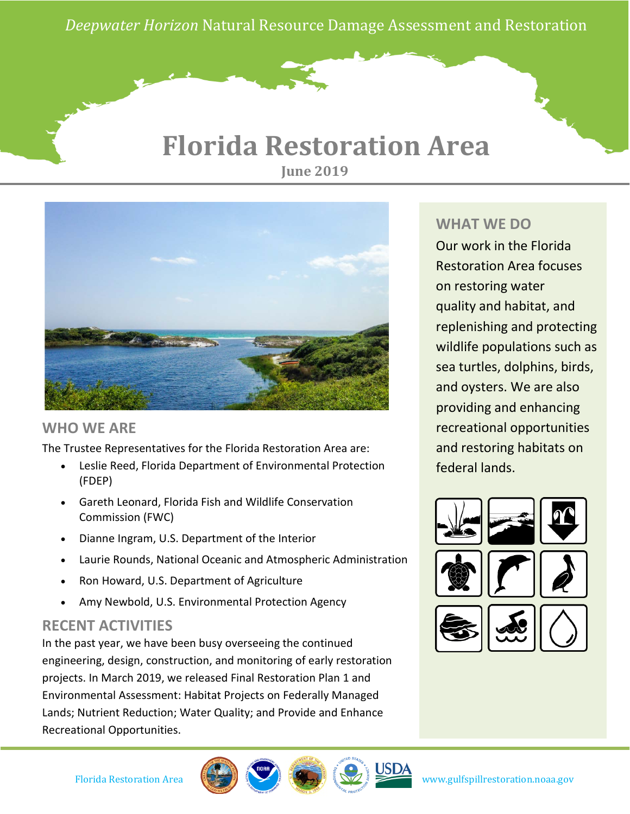*Deepwater Horizon* Natural Resource Damage Assessment and Restoration

# **Florida Restoration Area June 2019**



### **WHO WE ARE**

The Trustee Representatives for the Florida Restoration Area are:

- Leslie Reed, Florida Department of Environmental Protection (FDEP)
- Gareth Leonard, Florida Fish and Wildlife Conservation Commission (FWC)
- Dianne Ingram, U.S. Department of the Interior
- Laurie Rounds, National Oceanic and Atmospheric Administration
- Ron Howard, U.S. Department of Agriculture
- Amy Newbold, U.S. Environmental Protection Agency

### **RECENT ACTIVITIES**

In the past year, we have been busy overseeing the continued engineering, design, construction, and monitoring of early restoration projects. In March 2019, we released Final Restoration Plan 1 and Environmental Assessment: Habitat Projects on Federally Managed Lands; Nutrient Reduction; Water Quality; and Provide and Enhance Recreational Opportunities.

## **WHAT WE DO**

Our work in the Florida Restoration Area focuses on restoring water quality and habitat, and replenishing and protecting wildlife populations such as sea turtles, dolphins, birds, and oysters. We are also providing and enhancing recreational opportunities and restoring habitats on federal lands.





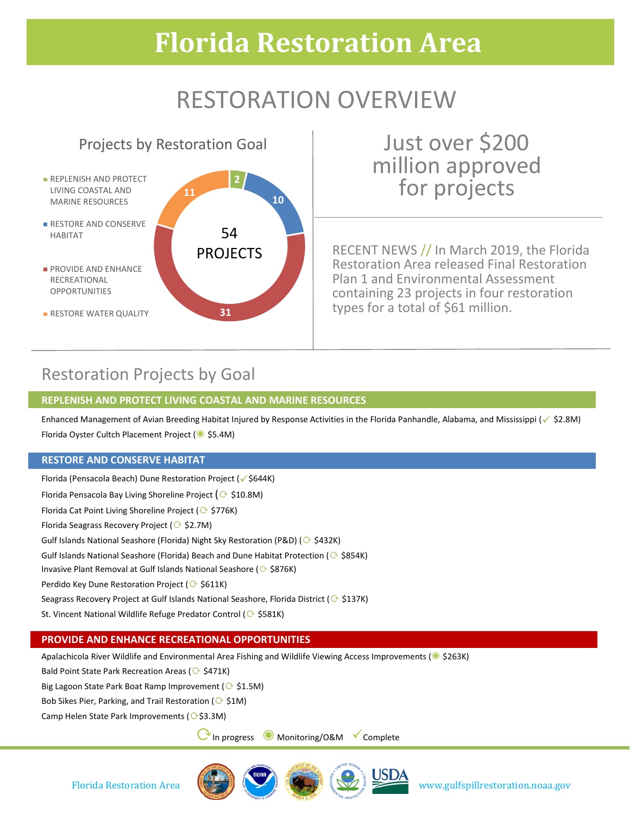# **Florida Restoration Area**

# RESTORATION OVERVIEW

## Projects by Restoration Goal

**11**

**2**

54 PROJECTS **10**

- **REPLENISH AND PROTECT** LIVING COASTAL AND MARINE RESOURCES
- **RESTORE AND CONSERVE** HABITAT
- **PROVIDE AND ENHANCE** RECREATIONAL OPPORTUNITIES
- **RESTORE WATER QUALITY**

Just over \$200 million approved for projects

RECENT NEWS // In March 2019, the Florida Restoration Area released Final Restoration Plan 1 and Environmental Assessment containing 23 projects in four restoration types for a total of \$61 million.

## Restoration Projects by Goal

### **REPLENISH AND PROTECT LIVING COASTAL AND MARINE RESOURCES**

**31**

Enhanced Management of Avian Breeding Habitat Injured by Response Activities in the Florida Panhandle, Alabama, and Mississippi ( $\sqrt{52.8M}$ ) Florida Oyster Cultch Placement Project (◉ \$5.4M)

#### **RESTORE AND CONSERVE HABITAT**

Florida (Pensacola Beach) Dune Restoration Project (√\$644K) Florida Pensacola Bay Living Shoreline Project ( $\odot$  \$10.8M) Florida Cat Point Living Shoreline Project ( $\odot$  \$776K) Florida Seagrass Recovery Project (⟳ \$2.7M) Gulf Islands National Seashore (Florida) Night Sky Restoration (P&D) ( $\odot$  \$432K) Gulf Islands National Seashore (Florida) Beach and Dune Habitat Protection ( $\odot$  \$854K) Invasive Plant Removal at Gulf Islands National Seashore (⊙ \$876K) Perdido Key Dune Restoration Project (⊙ \$611K) Seagrass Recovery Project at Gulf Islands National Seashore, Florida District ( $\odot$  \$137K) St. Vincent National Wildlife Refuge Predator Control ( § \$581K)

### **PROVIDE AND ENHANCE RECREATIONAL OPPORTUNITIES**

Apalachicola River Wildlife and Environmental Area Fishing and Wildlife Viewing Access Improvements (◉ \$263K)

Bald Point State Park Recreation Areas ( $\Diamond$  \$471K)

Big Lagoon State Park Boat Ramp Improvement ( $\odot$  \$1.5M)

Bob Sikes Pier, Parking, and Trail Restoration ( $\odot$  \$1M)

Camp Helen State Park Improvements ( $\bigcirc$ \$3.3M)

⟳In progress ◉ Monitoring/O&M Complete